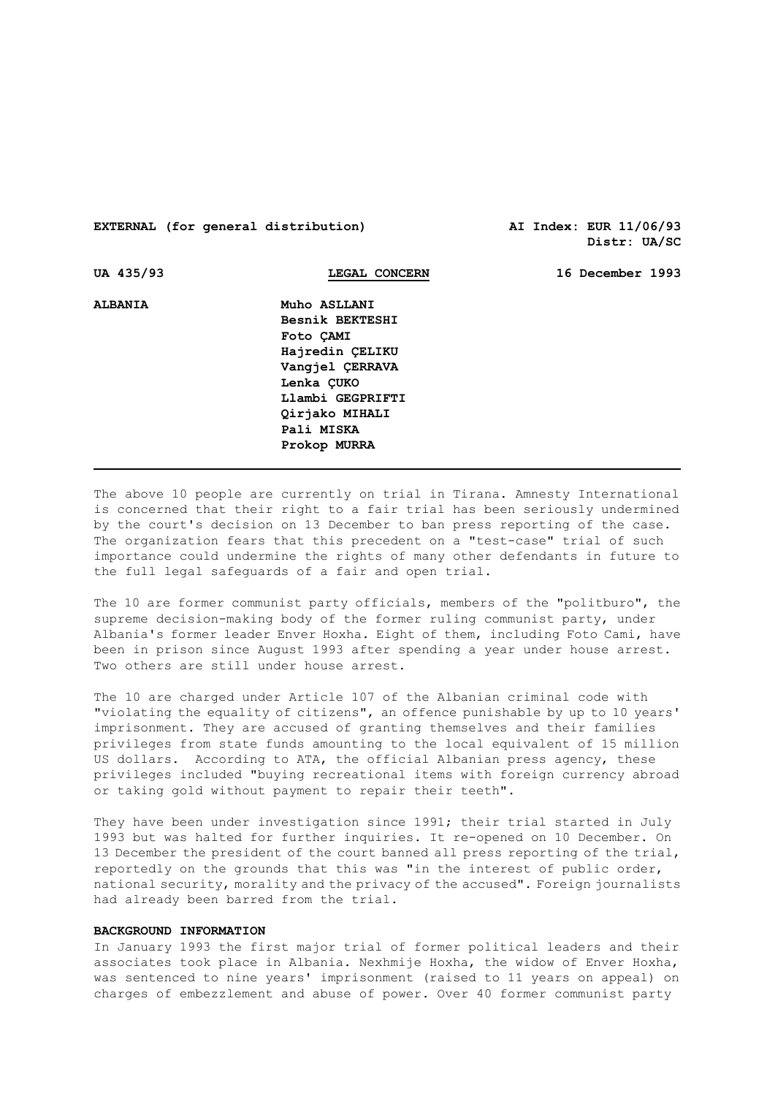# **EXTERNAL (for general distribution) AI Index: EUR 11/06/93**

**Distr: UA/SC** 

| UA 435/93      | LEGAL CONCERN    | 16 December 1993 |
|----------------|------------------|------------------|
| <b>ALBANIA</b> | Muho ASLLANI     |                  |
|                | Besnik BEKTESHI  |                  |
|                | Foto CAMI        |                  |
|                | Hajredin CELIKU  |                  |
|                | Vangjel ÇERRAVA  |                  |
|                | Lenka CUKO       |                  |
|                | Llambi GEGPRIFTI |                  |
|                | Qirjako MIHALI   |                  |
|                | Pali MISKA       |                  |
|                | Prokop MURRA     |                  |
|                |                  |                  |

The above 10 people are currently on trial in Tirana. Amnesty International is concerned that their right to a fair trial has been seriously undermined by the court's decision on 13 December to ban press reporting of the case. The organization fears that this precedent on a "test-case" trial of such importance could undermine the rights of many other defendants in future to the full legal safeguards of a fair and open trial.

The 10 are former communist party officials, members of the "politburo", the supreme decision-making body of the former ruling communist party, under Albania's former leader Enver Hoxha. Eight of them, including Foto Cami, have been in prison since August 1993 after spending a year under house arrest. Two others are still under house arrest.

The 10 are charged under Article 107 of the Albanian criminal code with "violating the equality of citizens", an offence punishable by up to 10 years' imprisonment. They are accused of granting themselves and their families privileges from state funds amounting to the local equivalent of 15 million US dollars. According to ATA, the official Albanian press agency, these privileges included "buying recreational items with foreign currency abroad or taking gold without payment to repair their teeth".

They have been under investigation since 1991; their trial started in July 1993 but was halted for further inquiries. It re-opened on 10 December. On 13 December the president of the court banned all press reporting of the trial, reportedly on the grounds that this was "in the interest of public order, national security, morality and the privacy of the accused". Foreign journalists had already been barred from the trial.

#### **BACKGROUND INFORMATION**

In January 1993 the first major trial of former political leaders and their associates took place in Albania. Nexhmije Hoxha, the widow of Enver Hoxha, was sentenced to nine years' imprisonment (raised to 11 years on appeal) on charges of embezzlement and abuse of power. Over 40 former communist party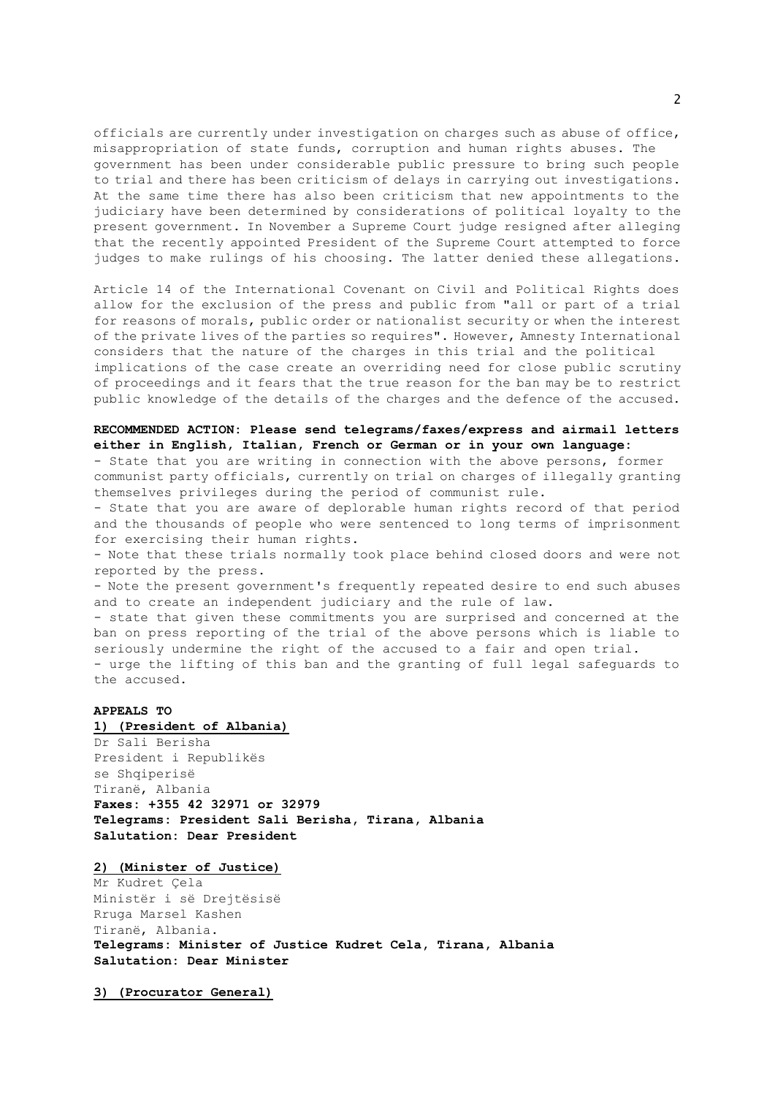officials are currently under investigation on charges such as abuse of office, misappropriation of state funds, corruption and human rights abuses. The government has been under considerable public pressure to bring such people to trial and there has been criticism of delays in carrying out investigations. At the same time there has also been criticism that new appointments to the judiciary have been determined by considerations of political loyalty to the present government. In November a Supreme Court judge resigned after alleging that the recently appointed President of the Supreme Court attempted to force judges to make rulings of his choosing. The latter denied these allegations.

Article 14 of the International Covenant on Civil and Political Rights does allow for the exclusion of the press and public from "all or part of a trial for reasons of morals, public order or nationalist security or when the interest of the private lives of the parties so requires". However, Amnesty International considers that the nature of the charges in this trial and the political implications of the case create an overriding need for close public scrutiny of proceedings and it fears that the true reason for the ban may be to restrict public knowledge of the details of the charges and the defence of the accused.

## **RECOMMENDED ACTION: Please send telegrams/faxes/express and airmail letters either in English, Italian, French or German or in your own language:**

- State that you are writing in connection with the above persons, former communist party officials, currently on trial on charges of illegally granting themselves privileges during the period of communist rule.

- State that you are aware of deplorable human rights record of that period and the thousands of people who were sentenced to long terms of imprisonment for exercising their human rights.

- Note that these trials normally took place behind closed doors and were not reported by the press.

- Note the present government's frequently repeated desire to end such abuses and to create an independent judiciary and the rule of law.

- state that given these commitments you are surprised and concerned at the ban on press reporting of the trial of the above persons which is liable to seriously undermine the right of the accused to a fair and open trial.

- urge the lifting of this ban and the granting of full legal safeguards to the accused.

## **APPEALS TO**

#### **1) (President of Albania)**

Dr Sali Berisha President i Republikës se Shqiperisë Tiranë, Albania **Faxes: +355 42 32971 or 32979 Telegrams: President Sali Berisha, Tirana, Albania Salutation: Dear President**

#### **2) (Minister of Justice)**

Mr Kudret Çela Ministër i së Drejtësisë Rruga Marsel Kashen Tiranë, Albania. **Telegrams: Minister of Justice Kudret Cela, Tirana, Albania Salutation: Dear Minister**

**3) (Procurator General)**